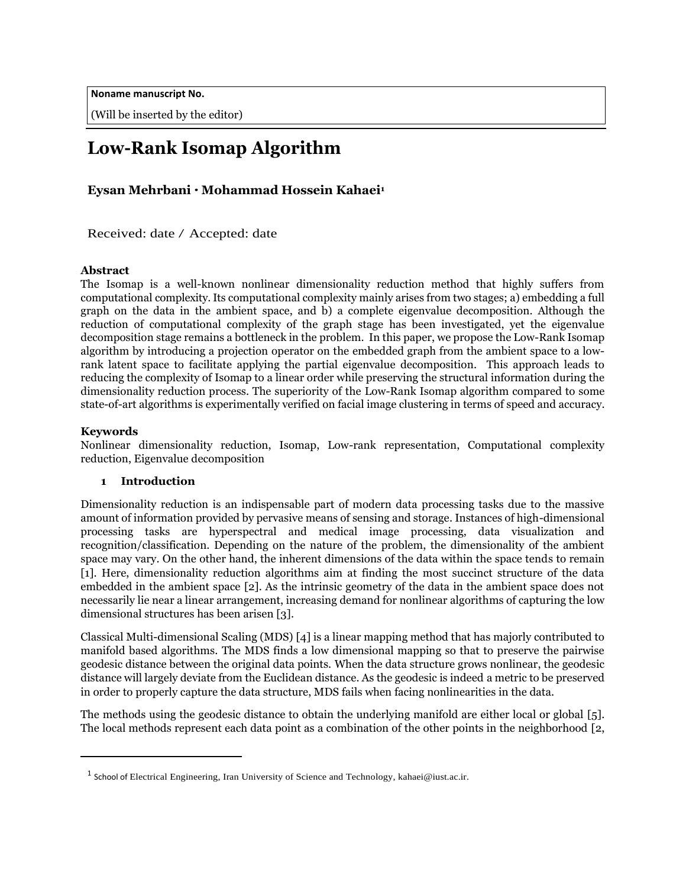**Noname manuscript No.**

(Will be inserted by the editor)

# **Low-Rank Isomap Algorithm**

# **Eysan Mehrbani** *·* **Mohammad Hossein Kahaei<sup>1</sup>**

Received: date / Accepted: date

## **Abstract**

The Isomap is a well-known nonlinear dimensionality reduction method that highly suffers from computational complexity. Its computational complexity mainly arises from two stages; a) embedding a full graph on the data in the ambient space, and b) a complete eigenvalue decomposition. Although the reduction of computational complexity of the graph stage has been investigated, yet the eigenvalue decomposition stage remains a bottleneck in the problem. In this paper, we propose the Low-Rank Isomap algorithm by introducing a projection operator on the embedded graph from the ambient space to a lowrank latent space to facilitate applying the partial eigenvalue decomposition. This approach leads to reducing the complexity of Isomap to a linear order while preserving the structural information during the dimensionality reduction process. The superiority of the Low-Rank Isomap algorithm compared to some state-of-art algorithms is experimentally verified on facial image clustering in terms of speed and accuracy.

## **Keywords**

Nonlinear dimensionality reduction, Isomap, Low-rank representation, Computational complexity reduction, Eigenvalue decomposition

## **1 Introduction**

Dimensionality reduction is an indispensable part of modern data processing tasks due to the massive amount of information provided by pervasive means of sensing and storage. Instances of high-dimensional processing tasks are hyperspectral and medical image processing, data visualization and recognition/classification. Depending on the nature of the problem, the dimensionality of the ambient space may vary. On the other hand, the inherent dimensions of the data within the space tends to remain [1]. Here, dimensionality reduction algorithms aim at finding the most succinct structure of the data embedded in the ambient space [2]. As the intrinsic geometry of the data in the ambient space does not necessarily lie near a linear arrangement, increasing demand for nonlinear algorithms of capturing the low dimensional structures has been arisen [3].

Classical Multi-dimensional Scaling (MDS) [4] is a linear mapping method that has majorly contributed to manifold based algorithms. The MDS finds a low dimensional mapping so that to preserve the pairwise geodesic distance between the original data points. When the data structure grows nonlinear, the geodesic distance will largely deviate from the Euclidean distance. As the geodesic is indeed a metric to be preserved in order to properly capture the data structure, MDS fails when facing nonlinearities in the data.

The methods using the geodesic distance to obtain the underlying manifold are either local or global [5]. The local methods represent each data point as a combination of the other points in the neighborhood [2,

<sup>&</sup>lt;sup>1</sup> School of Electrical Engineering, Iran University of Science and Technology, [k](mailto:kahaei@iust.ac.ir)ahaei@iust.ac.ir.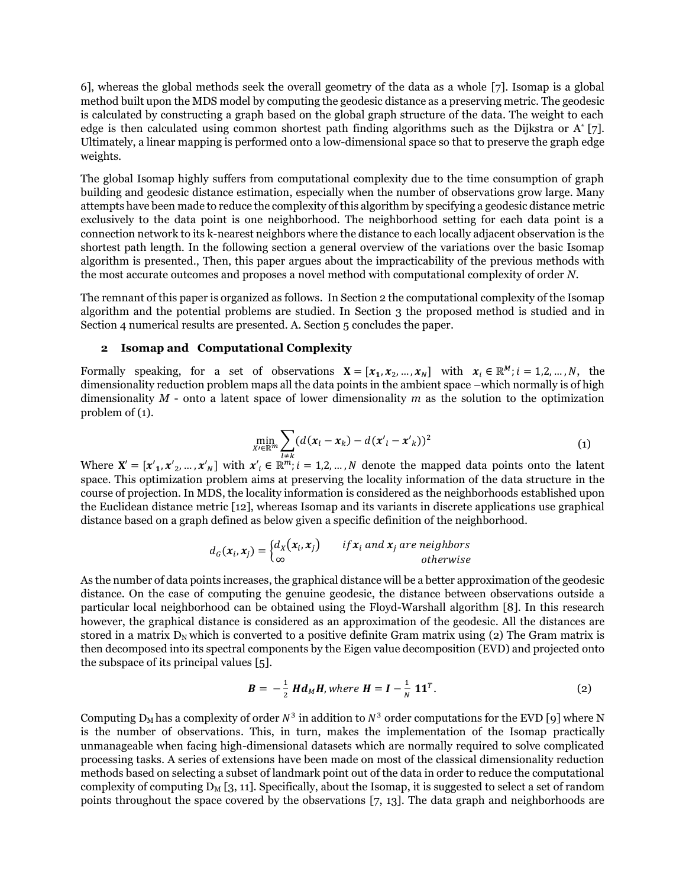6], whereas the global methods seek the overall geometry of the data as a whole [7]. Isomap is a global method built upon the MDS model by computing the geodesic distance as a preserving metric. The geodesic is calculated by constructing a graph based on the global graph structure of the data. The weight to each edge is then calculated using common shortest path finding algorithms such as the Dijkstra or A\* [7]. Ultimately, a linear mapping is performed onto a low-dimensional space so that to preserve the graph edge weights.

The global Isomap highly suffers from computational complexity due to the time consumption of graph building and geodesic distance estimation, especially when the number of observations grow large. Many attempts have been made to reduce the complexity of this algorithm by specifying a geodesic distance metric exclusively to the data point is one neighborhood. The neighborhood setting for each data point is a connection network to its k-nearest neighbors where the distance to each locally adjacent observation is the shortest path length. In the following section a general overview of the variations over the basic Isomap algorithm is presented., Then, this paper argues about the impracticability of the previous methods with the most accurate outcomes and proposes a novel method with computational complexity of order *N*.

The remnant of this paper is organized as follows. In Section 2 the computational complexity of the Isomap algorithm and the potential problems are studied. In Section 3 the proposed method is studied and in Section 4 numerical results are presented. A. Section 5 concludes the paper.

#### **2 Isomap and Computational Complexity**

Formally speaking, for a set of observations  $\mathbf{X} = [\mathbf{x}_1, \mathbf{x}_2, ..., \mathbf{x}_N]$  with  $\mathbf{x}_i \in \mathbb{R}^M$ ;  $i = 1, 2, ..., N$ , the dimensionality reduction problem maps all the data points in the ambient space –which normally is of high dimensionality *M* - onto a latent space of lower dimensionality *m* as the solution to the optimization problem of (1).

$$
\min_{\mathbf{X}\in\mathbb{R}^m}\sum_{l\neq k}(d(\mathbf{x}_l-\mathbf{x}_k)-d(\mathbf{x'}_l-\mathbf{x'}_k))^2
$$
\n(1)

Where  $X' = [x'_1, x'_2, ..., x'_N]$  with  $x'_i \in \mathbb{R}^m$ ;  $i = 1, 2, ..., N$  denote the mapped data points onto the latent space. This optimization problem aims at preserving the locality information of the data structure in the course of projection. In MDS, the locality information is considered as the neighborhoods established upon the Euclidean distance metric [12], whereas Isomap and its variants in discrete applications use graphical distance based on a graph defined as below given a specific definition of the neighborhood.

$$
d_G(\mathbf{x}_i, \mathbf{x}_j) = \begin{cases} d_X(\mathbf{x}_i, \mathbf{x}_j) & \text{if } \mathbf{x}_i \text{ and } \mathbf{x}_j \text{ are neighbors} \\ \infty & \text{otherwise} \end{cases}
$$

As the number of data points increases, the graphical distance will be a better approximation of the geodesic distance. On the case of computing the genuine geodesic, the distance between observations outside a particular local neighborhood can be obtained using the Floyd-Warshall algorithm [8]. In this research however, the graphical distance is considered as an approximation of the geodesic. All the distances are stored in a matrix  $D_N$  which is converted to a positive definite Gram matrix using (2) The Gram matrix is then decomposed into its spectral components by the Eigen value decomposition (EVD) and projected onto the subspace of its principal values [5].

$$
B = -\frac{1}{2} H d_M H, \text{ where } H = I - \frac{1}{N} 11^T. \tag{2}
$$

Computing  $D_M$  has a complexity of order  $N^3$  in addition to  $N^3$  order computations for the EVD [9] where N is the number of observations. This, in turn, makes the implementation of the Isomap practically unmanageable when facing high-dimensional datasets which are normally required to solve complicated processing tasks. A series of extensions have been made on most of the classical dimensionality reduction methods based on selecting a subset of landmark point out of the data in order to reduce the computational complexity of computing  $D_M$  [3, 11]. Specifically, about the Isomap, it is suggested to select a set of random points throughout the space covered by the observations [7, 13]. The data graph and neighborhoods are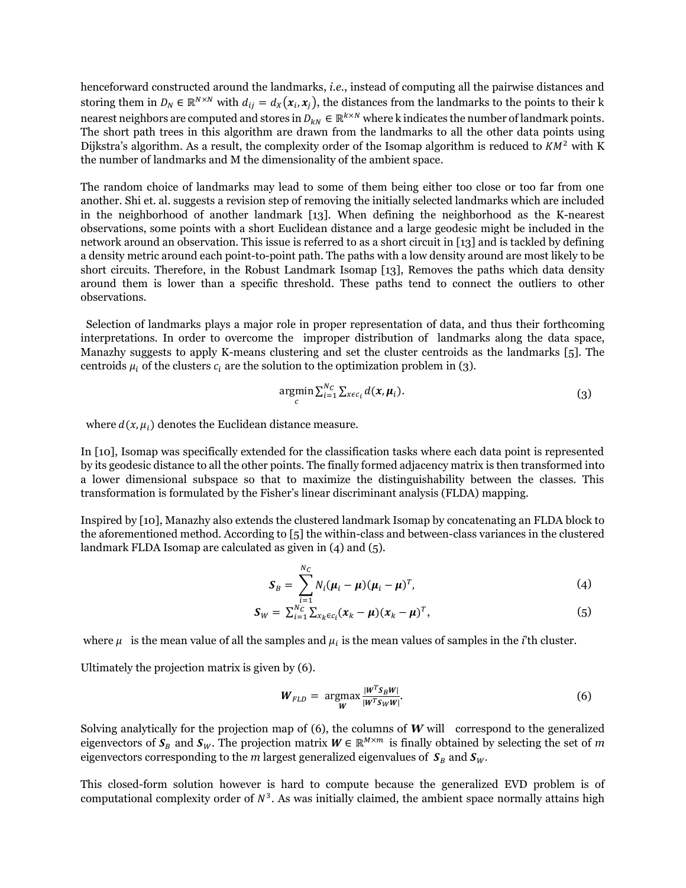henceforward constructed around the landmarks, *i.e.*, instead of computing all the pairwise distances and storing them in  $D_N \in \mathbb{R}^{N \times N}$  with  $d_{ij} = d_X(x_i, x_j)$ , the distances from the landmarks to the points to their k nearest neighbors are computed and stores in  $D_{kN} \in \mathbb{R}^{k \times N}$  where k indicates the number of landmark points. The short path trees in this algorithm are drawn from the landmarks to all the other data points using Dijkstra's algorithm. As a result, the complexity order of the Isomap algorithm is reduced to  $KM^2$  with K the number of landmarks and M the dimensionality of the ambient space.

The random choice of landmarks may lead to some of them being either too close or too far from one another. Shi et. al. suggests a revision step of removing the initially selected landmarks which are included in the neighborhood of another landmark [13]. When defining the neighborhood as the K-nearest observations, some points with a short Euclidean distance and a large geodesic might be included in the network around an observation. This issue is referred to as a short circuit in [13] and is tackled by defining a density metric around each point-to-point path. The paths with a low density around are most likely to be short circuits. Therefore, in the Robust Landmark Isomap [13], Removes the paths which data density around them is lower than a specific threshold. These paths tend to connect the outliers to other observations.

Selection of landmarks plays a major role in proper representation of data, and thus their forthcoming interpretations. In order to overcome the improper distribution of landmarks along the data space, Manazhy suggests to apply K-means clustering and set the cluster centroids as the landmarks [5]. The centroids  $\mu_i$  of the clusters  $c_i$  are the solution to the optimization problem in (3).

$$
\underset{c}{\operatorname{argmin}} \sum_{i=1}^{N_C} \sum_{x \in c_i} d(x, \mu_i). \tag{3}
$$

where  $d(x, \mu_i)$  denotes the Euclidean distance measure.

In [10], Isomap was specifically extended for the classification tasks where each data point is represented by its geodesic distance to all the other points. The finally formed adjacency matrix is then transformed into a lower dimensional subspace so that to maximize the distinguishability between the classes. This transformation is formulated by the Fisher's linear discriminant analysis (FLDA) mapping.

Inspired by [10], Manazhy also extends the clustered landmark Isomap by concatenating an FLDA block to the aforementioned method. According to [5] the within-class and between-class variances in the clustered landmark FLDA Isomap are calculated as given in (4) and (5).

$$
\mathbf{S}_B = \sum_{i=1}^{N_C} N_i (\boldsymbol{\mu}_i - \boldsymbol{\mu}) (\boldsymbol{\mu}_i - \boldsymbol{\mu})^T,
$$
\n(4)

$$
S_W = \sum_{i=1}^{i=1}^{N_C} \sum_{x_k \in c_i} (x_k - \mu) (x_k - \mu)^T,
$$
\n(5)

where  $\mu$  is the mean value of all the samples and  $\mu_i$  is the mean values of samples in the *i*'th cluster.

Ultimately the projection matrix is given by (6).

$$
W_{FLD} = \underset{W}{\text{argmax}} \frac{|W^T S_B W|}{|W^T S_W W|}. \tag{6}
$$

Solving analytically for the projection map of  $(6)$ , the columns of  $W$  will correspond to the generalized eigenvectors of  $S_B$  and  $S_W$ . The projection matrix  $W \in \mathbb{R}^{M \times m}$  is finally obtained by selecting the set of  $m$ eigenvectors corresponding to the *m* largest generalized eigenvalues of  $S_B$  and  $S_W$ .

This closed-form solution however is hard to compute because the generalized EVD problem is of computational complexity order of  $N<sup>3</sup>$ . As was initially claimed, the ambient space normally attains high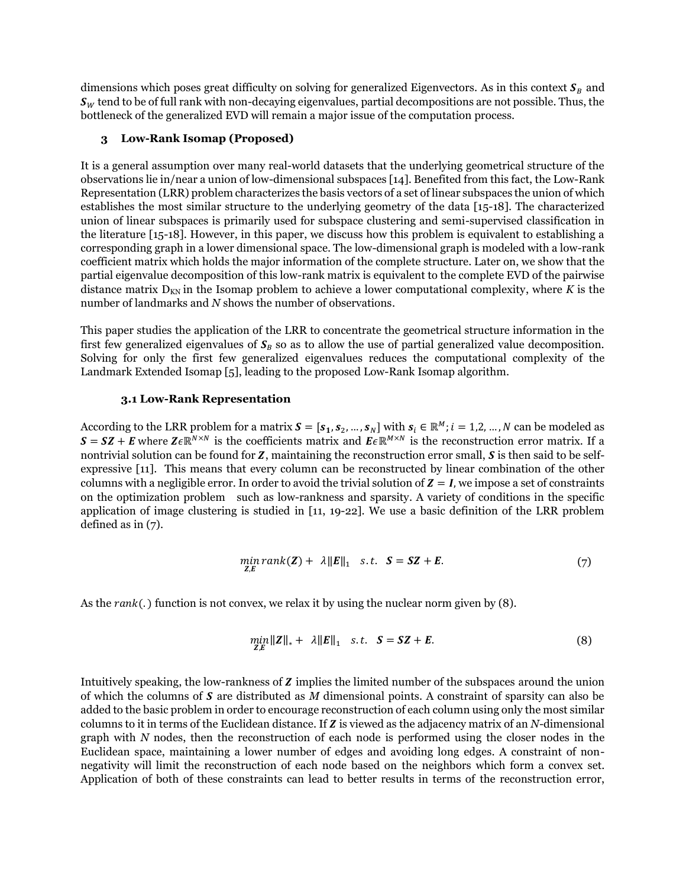dimensions which poses great difficulty on solving for generalized Eigenvectors. As in this context  $S_B$  and  $\mathbf{s}_w$  tend to be of full rank with non-decaying eigenvalues, partial decompositions are not possible. Thus, the bottleneck of the generalized EVD will remain a major issue of the computation process.

## **3 Low-Rank Isomap (Proposed)**

It is a general assumption over many real-world datasets that the underlying geometrical structure of the observations lie in/near a union of low-dimensional subspaces [14]. Benefited from this fact, the Low-Rank Representation (LRR) problem characterizes the basis vectors of a set of linear subspaces the union of which establishes the most similar structure to the underlying geometry of the data [15-18]. The characterized union of linear subspaces is primarily used for subspace clustering and semi-supervised classification in the literature [15-18]. However, in this paper, we discuss how this problem is equivalent to establishing a corresponding graph in a lower dimensional space. The low-dimensional graph is modeled with a low-rank coefficient matrix which holds the major information of the complete structure. Later on, we show that the partial eigenvalue decomposition of this low-rank matrix is equivalent to the complete EVD of the pairwise distance matrix  $D_{KN}$  in the Isomap problem to achieve a lower computational complexity, where *K* is the number of landmarks and *N* shows the number of observations.

This paper studies the application of the LRR to concentrate the geometrical structure information in the first few generalized eigenvalues of  $S_B$  so as to allow the use of partial generalized value decomposition. Solving for only the first few generalized eigenvalues reduces the computational complexity of the Landmark Extended Isomap [5], leading to the proposed Low-Rank Isomap algorithm.

### **3.1 Low-Rank Representation**

According to the LRR problem for a matrix  $S = [s_1, s_2, ..., s_N]$  with  $s_i \in \mathbb{R}^M$ ;  $i = 1, 2, ..., N$  can be modeled as  $S = SZ + E$  where  $Z \in \mathbb{R}^{N \times N}$  is the coefficients matrix and  $E \in \mathbb{R}^{M \times N}$  is the reconstruction error matrix. If a nontrivial solution can be found for  $Z$ , maintaining the reconstruction error small,  $S$  is then said to be selfexpressive [11]. This means that every column can be reconstructed by linear combination of the other columns with a negligible error. In order to avoid the trivial solution of  $Z = I$ , we impose a set of constraints on the optimization problem such as low-rankness and sparsity. A variety of conditions in the specific application of image clustering is studied in [11, 19-22]. We use a basic definition of the LRR problem defined as in (7).

$$
\min_{Z,E} rank(Z) + \lambda ||E||_1 \quad s.t. \quad S = SZ + E. \tag{7}
$$

As the  $rank(.)$  function is not convex, we relax it by using the nuclear norm given by (8).

$$
\min_{\mathbf{Z}, E} \|\mathbf{Z}\|_{*} + \lambda \|\mathbf{E}\|_{1} \quad s.t. \quad \mathbf{S} = \mathbf{SZ} + \mathbf{E}.\tag{8}
$$

Intuitively speaking, the low-rankness of  $Z$  implies the limited number of the subspaces around the union of which the columns of S are distributed as M dimensional points. A constraint of sparsity can also be added to the basic problem in order to encourage reconstruction of each column using only the most similar columns to it in terms of the Euclidean distance. If **Z** is viewed as the adjacency matrix of an *N*-dimensional graph with *N* nodes, then the reconstruction of each node is performed using the closer nodes in the Euclidean space, maintaining a lower number of edges and avoiding long edges. A constraint of nonnegativity will limit the reconstruction of each node based on the neighbors which form a convex set. Application of both of these constraints can lead to better results in terms of the reconstruction error,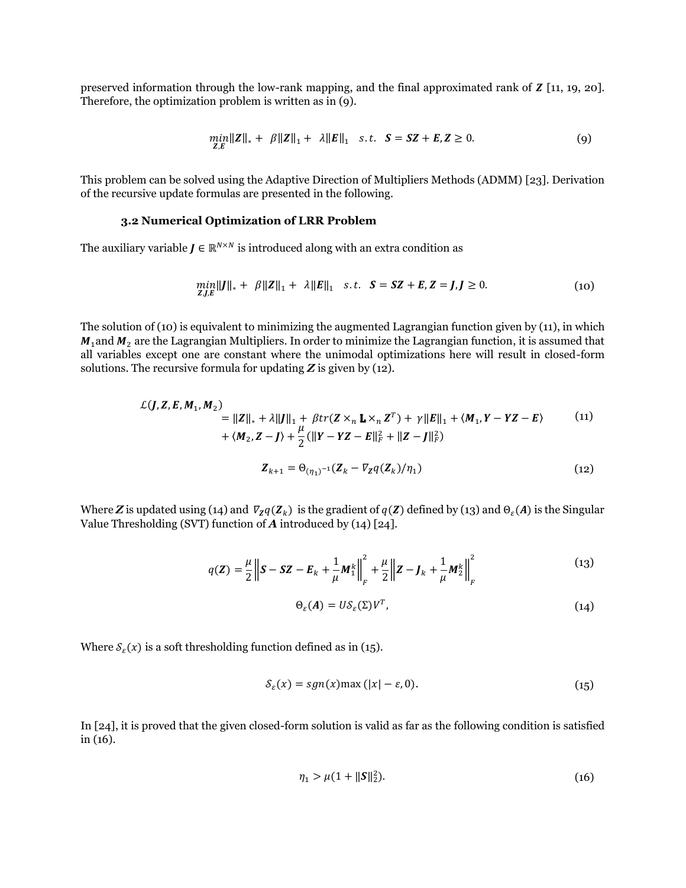preserved information through the low-rank mapping, and the final approximated rank of  $Z$  [11, 19, 20]. Therefore, the optimization problem is written as in (9).

$$
\min_{Z,E} \|Z\|_{*} + \beta \|Z\|_{1} + \lambda \|E\|_{1} \quad s.t. \quad S = SZ + E, Z \ge 0. \tag{9}
$$

This problem can be solved using the Adaptive Direction of Multipliers Methods (ADMM) [23]. Derivation of the recursive update formulas are presented in the following.

#### **3.2 Numerical Optimization of LRR Problem**

The auxiliary variable  $J \in \mathbb{R}^{N \times N}$  is introduced along with an extra condition as

$$
\min_{Z,J,E} \|J\|_{*} + \beta \|Z\|_{1} + \lambda \|E\|_{1} \quad s.t. \quad S = SZ + E, Z = J, J \ge 0. \tag{10}
$$

The solution of (10) is equivalent to minimizing the augmented Lagrangian function given by (11), in which  $M_1$ and  $M_2$  are the Lagrangian Multipliers. In order to minimize the Lagrangian function, it is assumed that all variables except one are constant where the unimodal optimizations here will result in closed-form solutions. The recursive formula for updating *Z* is given by (12).

$$
\mathcal{L}(J, Z, E, M_1, M_2) = ||Z||_* + \lambda ||J||_1 + \beta tr(Z \times_n \mathbf{L} \times_n Z^T) + \gamma ||E||_1 + \langle M_1, Y - YZ - E \rangle \tag{11}
$$
  
+  $\langle M_2, Z - J \rangle + \frac{\mu}{2} (||Y - YZ - E||_F^2 + ||Z - J||_F^2)$   

$$
Z_{k+1} = \Theta_{(\eta_1)^{-1}}(Z_k - \nabla_Z q(Z_k)/\eta_1) \tag{12}
$$

Where **Z** is updated using (14) and  $\nabla_z q(\mathbf{Z}_k)$  is the gradient of  $q(\mathbf{Z})$  defined by (13) and  $\Theta_{\varepsilon}(A)$  is the Singular Value Thresholding (SVT) function of *A* introduced by (14) [24].

$$
q(\mathbf{Z}) = \frac{\mu}{2} \left\| \mathbf{S} - \mathbf{S} \mathbf{Z} - \mathbf{E}_k + \frac{1}{\mu} \mathbf{M}_1^k \right\|_F^2 + \frac{\mu}{2} \left\| \mathbf{Z} - \mathbf{J}_k + \frac{1}{\mu} \mathbf{M}_2^k \right\|_F^2
$$
(13)

$$
\Theta_{\varepsilon}(A) = U \mathcal{S}_{\varepsilon}(\Sigma) V^T, \tag{14}
$$

Where  $S_{\varepsilon}(x)$  is a soft thresholding function defined as in (15).

$$
S_{\varepsilon}(x) = sgn(x) \max(|x| - \varepsilon, 0). \tag{15}
$$

In [24], it is proved that the given closed-form solution is valid as far as the following condition is satisfied in (16).

$$
\eta_1 > \mu(1 + \|S\|_2^2). \tag{16}
$$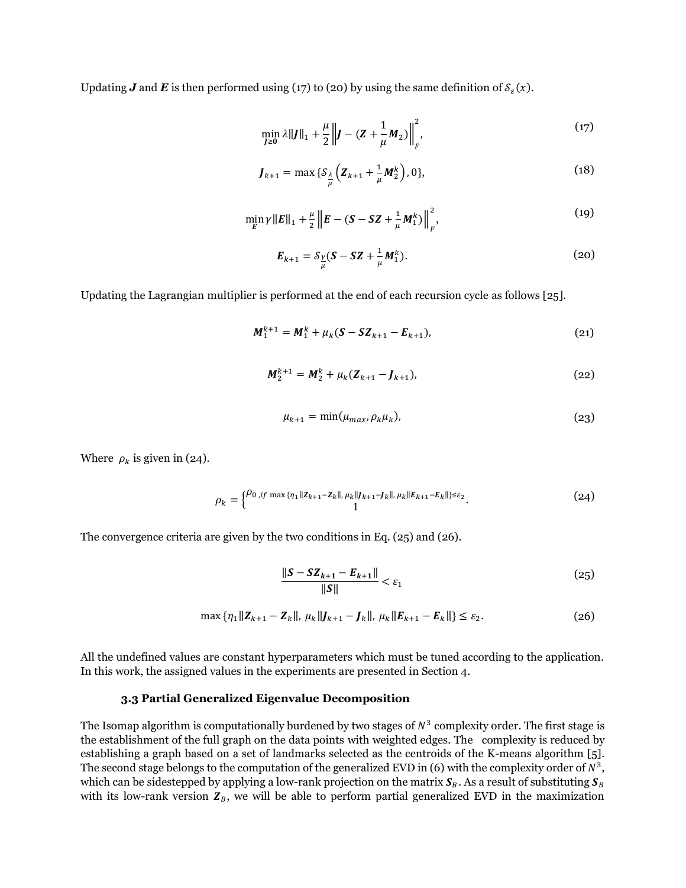Updating **J** and **E** is then performed using (17) to (20) by using the same definition of  $S_{\varepsilon}(x)$ .

$$
\min_{J \ge 0} \lambda ||J||_1 + \frac{\mu}{2} \left||J - (Z + \frac{1}{\mu} M_2)\right||_F^2, \tag{17}
$$

$$
J_{k+1} = \max \{ \mathcal{S}_{\frac{\lambda}{\mu}} \Big( Z_{k+1} + \frac{1}{\mu} M_2^k \Big), 0 \},\tag{18}
$$

$$
\min_{E} \gamma ||E||_{1} + \frac{\mu}{2} ||E - (S - SZ + \frac{1}{\mu} M_{1}^{k})||_{F}^{2},
$$
\n(19)

$$
E_{k+1} = S_{\frac{\gamma}{\mu}}(S - SZ + \frac{1}{\mu}M_1^k).
$$
 (20)

Updating the Lagrangian multiplier is performed at the end of each recursion cycle as follows [25].

$$
M_1^{k+1} = M_1^k + \mu_k (S - SZ_{k+1} - E_{k+1}),
$$
\n(21)

$$
M_2^{k+1} = M_2^k + \mu_k (Z_{k+1} - J_{k+1}), \tag{22}
$$

$$
\mu_{k+1} = \min(\mu_{max}, \rho_k \mu_k), \tag{23}
$$

Where  $\rho_k$  is given in (24).

$$
\rho_k = \begin{cases} \rho_{0,i} f \max\{\eta_1 \| Z_{k+1} - Z_k \|, \mu_k \| J_{k+1} - J_k \|, \mu_k \| E_{k+1} - E_k \| \} \leq \varepsilon_2 \\ 1 \end{cases} \tag{24}
$$

The convergence criteria are given by the two conditions in Eq. (25) and (26).

$$
\frac{\|S - SZ_{k+1} - E_{k+1}\|}{\|S\|} < \varepsilon_1 \tag{25}
$$

$$
\max \left\{ \eta_1 || \mathbf{Z}_{k+1} - \mathbf{Z}_k ||, \ \mu_k || \mathbf{J}_{k+1} - \mathbf{J}_k ||, \ \mu_k || \mathbf{E}_{k+1} - \mathbf{E}_k || \right\} \le \varepsilon_2. \tag{26}
$$

All the undefined values are constant hyperparameters which must be tuned according to the application. In this work, the assigned values in the experiments are presented in Section 4.

#### **3.3 Partial Generalized Eigenvalue Decomposition**

The Isomap algorithm is computationally burdened by two stages of  $N^3$  complexity order. The first stage is the establishment of the full graph on the data points with weighted edges. The complexity is reduced by establishing a graph based on a set of landmarks selected as the centroids of the K-means algorithm [5]. The second stage belongs to the computation of the generalized EVD in (6) with the complexity order of  $N^3$ , which can be sidestepped by applying a low-rank projection on the matrix  $S_B$ . As a result of substituting  $S_B$ with its low-rank version  $Z_B$ , we will be able to perform partial generalized EVD in the maximization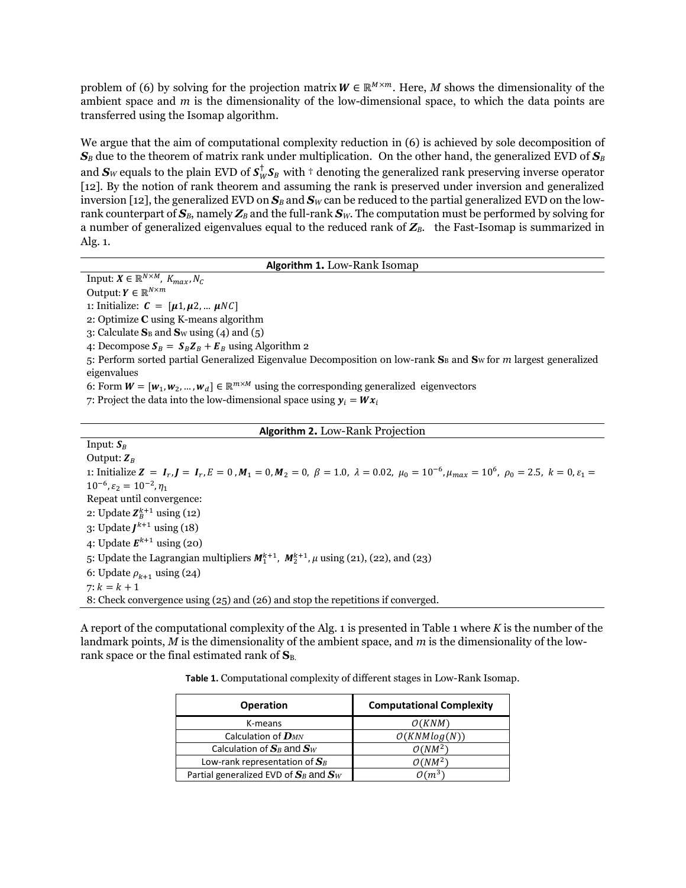problem of (6) by solving for the projection matrix  $W \in \mathbb{R}^{M \times m}$ . Here, M shows the dimensionality of the ambient space and *m* is the dimensionality of the low-dimensional space, to which the data points are transferred using the Isomap algorithm.

We argue that the aim of computational complexity reduction in (6) is achieved by sole decomposition of  $S_B$  due to the theorem of matrix rank under multiplication. On the other hand, the generalized EVD of  $S_B$ and  $\bm S_W$  equals to the plain EVD of  $\bm S_W^\dagger \bm S_B$  with  $^+$  denoting the generalized rank preserving inverse operator [12]. By the notion of rank theorem and assuming the rank is preserved under inversion and generalized inversion [12], the generalized EVD on  $S_B$  and  $S_W$  can be reduced to the partial generalized EVD on the lowrank counterpart of  $S_B$ , namely  $Z_B$  and the full-rank  $S_W$ . The computation must be performed by solving for a number of generalized eigenvalues equal to the reduced rank of *ZB*. the Fast-Isomap is summarized in Alg. 1.

**Algorithm 1.** Low-Rank Isomap

Input:  $X \in \mathbb{R}^{N \times M}$ ,  $K_{max}$ ,  $N_C$ 

Output:  $Y \in \mathbb{R}^{N \times m}$ 

1: Initialize:  $C = [\mu 1, \mu 2, ... \mu NC]$ 

2: Optimize **C** using K-means algorithm

3: Calculate  $S_B$  and  $S_W$  using (4) and (5)

4: Decompose  $S_B = S_B Z_B + E_B$  using Algorithm 2

5: Perform sorted partial Generalized Eigenvalue Decomposition on low-rank  $S_B$  and  $S_W$  for  $m$  largest generalized eigenvalues

6: Form  $W = [w_1, w_2, ..., w_d] \in \mathbb{R}^{m \times M}$  using the corresponding generalized eigenvectors

7: Project the data into the low-dimensional space using  $y_i = Wx_i$ 

#### **Algorithm 2.** Low-Rank Projection

Input:  $S_B$ Output:  $Z_R$ 1: Initialize  $\mathbf{Z} = I_r$ ,  $\mathbf{J} = I_r$ ,  $E = 0$ ,  $M_1 = 0$ ,  $M_2 = 0$ ,  $\beta = 1.0$ ,  $\lambda = 0.02$ ,  $\mu_0 = 10^{-6}$ ,  $\mu_{max} = 10^6$ ,  $\rho_0 = 2.5$ ,  $k = 0$ ,  $\varepsilon_1 =$ 10<sup>-6</sup>, ε<sub>2</sub> = 10<sup>-2</sup>, η<sub>1</sub> Repeat until convergence: 2: Update  $\mathbf{Z}_{B}^{k+1}$  using (12) 3: Update  $J^{k+1}$  using (18) 4: Update  $E^{k+1}$  using (20) 5: Update the Lagrangian multipliers  $M_1^{k+1}$ ,  $M_2^{k+1}$ ,  $\mu$  using (21), (22), and (23) 6: Update  $\rho_{k+1}$  using (24)  $7: k = k + 1$ 8: Check convergence using (25) and (26) and stop the repetitions if converged.

A report of the computational complexity of the Alg. 1 is presented in Table 1 where *K* is the number of the landmark points, *M* is the dimensionality of the ambient space, and *m* is the dimensionality of the lowrank space or the final estimated rank of  $S_{B}$ .

**Table 1.** Computational complexity of different stages in Low-Rank Isomap.

| <b>Operation</b>                           | <b>Computational Complexity</b> |  |  |
|--------------------------------------------|---------------------------------|--|--|
| K-means                                    | O(KNM)                          |  |  |
| Calculation of $\bm{D}_{MN}$               | O(KNMlog(N))                    |  |  |
| Calculation of $S_B$ and $S_W$             | $O(NM^2)$                       |  |  |
| Low-rank representation of $S_B$           | $O(NM^2)$                       |  |  |
| Partial generalized EVD of $S_B$ and $S_W$ | $\mathcal{O}(m^3)$              |  |  |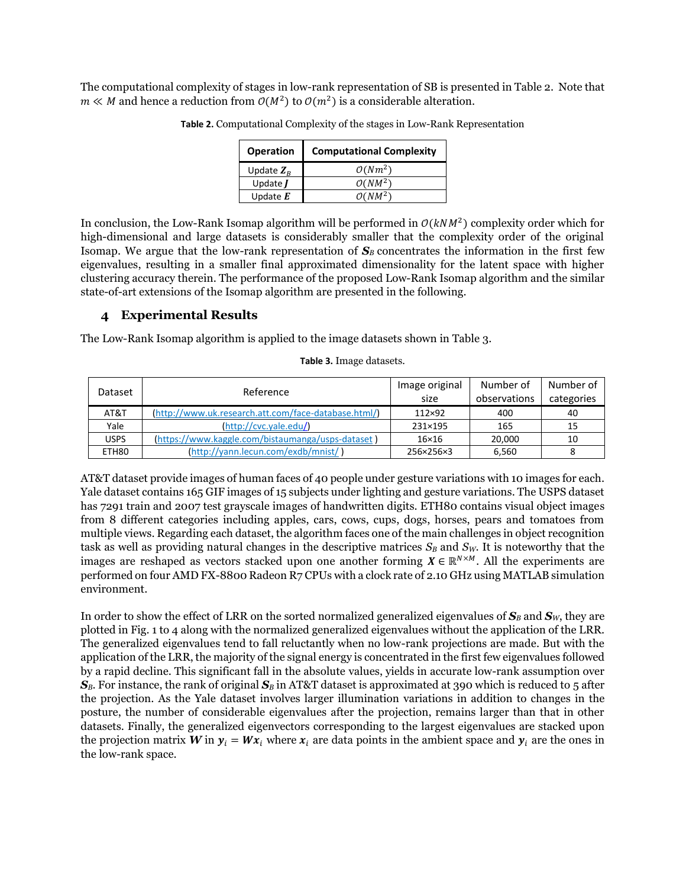The computational complexity of stages in low-rank representation of SB is presented in Table 2. Note that  $m \ll M$  and hence a reduction from  $O(M^2)$  to  $O(m^2)$  is a considerable alteration.

| <b>Operation</b>        | <b>Computational Complexity</b> |
|-------------------------|---------------------------------|
| Update $Z_{R}$          | $O(Nm^2)$                       |
| Update $I$              | $O(NM^2)$                       |
| Update $\boldsymbol{E}$ | $O(NM^2)$                       |

**Table 2.** Computational Complexity of the stages in Low-Rank Representation

In conclusion, the Low-Rank Isomap algorithm will be performed in  $O(kNM^2)$  complexity order which for high-dimensional and large datasets is considerably smaller that the complexity order of the original Isomap. We argue that the low-rank representation of  $S_B$  concentrates the information in the first few eigenvalues, resulting in a smaller final approximated dimensionality for the latent space with higher clustering accuracy therein. The performance of the proposed Low-Rank Isomap algorithm and the similar state-of-art extensions of the Isomap algorithm are presented in the following.

# **4 Experimental Results**

The Low-Rank Isomap algorithm is applied to the image datasets shown in Table 3.

|       | Reference<br>Dataset                                 |               | Number of    | Number of  |
|-------|------------------------------------------------------|---------------|--------------|------------|
|       |                                                      |               | observations | categories |
| AT&T  | (http://www.uk.research.att.com/face-database.html/) | $112\times92$ | 400          | 40         |
| Yale  | (http://cvc.yale.edu/)                               | 231×195       | 165          | 15         |
| USPS  | (https://www.kaggle.com/bistaumanga/usps-dataset)    | $16\times16$  | 20,000       | 10         |
| ETH80 | (http://yann.lecun.com/exdb/mnist/)                  | 256×256×3     | 6,560        |            |

**Table 3.** Image datasets.

AT&T dataset provide images of human faces of 40 people under gesture variations with 10 images for each. Yale dataset contains 165 GIF images of 15 subjects under lighting and gesture variations. The USPS dataset has 7291 train and 2007 test grayscale images of handwritten digits. ETH80 contains visual object images from 8 different categories including apples, cars, cows, cups, dogs, horses, pears and tomatoes from multiple views. Regarding each dataset, the algorithm faces one of the main challenges in object recognition task as well as providing natural changes in the descriptive matrices *S<sup>B</sup>* and *SW*. It is noteworthy that the images are reshaped as vectors stacked upon one another forming  $X \in \mathbb{R}^{N \times M}$ . All the experiments are performed on four AMD FX-8800 Radeon R7 CPUs with a clock rate of 2.10 GHz using MATLAB simulation environment.

In order to show the effect of LRR on the sorted normalized generalized eigenvalues of  $S_B$  and  $S_W$ , they are plotted in Fig. 1 to 4 along with the normalized generalized eigenvalues without the application of the LRR. The generalized eigenvalues tend to fall reluctantly when no low-rank projections are made. But with the application of the LRR, the majority of the signal energy is concentrated in the first few eigenvalues followed by a rapid decline. This significant fall in the absolute values, yields in accurate low-rank assumption over  $S_B$ . For instance, the rank of original  $S_B$  in AT&T dataset is approximated at 390 which is reduced to 5 after the projection. As the Yale dataset involves larger illumination variations in addition to changes in the posture, the number of considerable eigenvalues after the projection, remains larger than that in other datasets. Finally, the generalized eigenvectors corresponding to the largest eigenvalues are stacked upon the projection matrix *W* in  $y_i = Wx_i$  where  $x_i$  are data points in the ambient space and  $y_i$  are the ones in the low-rank space.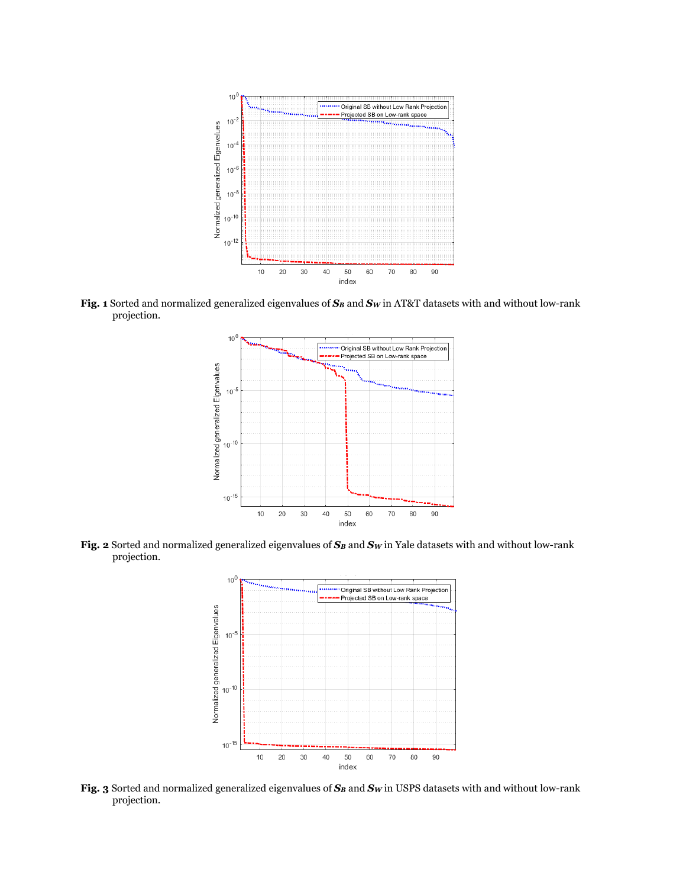

**Fig. 1** Sorted and normalized generalized eigenvalues of *S<sup>B</sup>* and *S<sup>W</sup>* in AT&T datasets with and without low-rank projection.



**Fig. 2** Sorted and normalized generalized eigenvalues of *S<sup>B</sup>* and *S<sup>W</sup>* in Yale datasets with and without low-rank projection.



**Fig. 3** Sorted and normalized generalized eigenvalues of *S<sup>B</sup>* and *S<sup>W</sup>* in USPS datasets with and without low-rank projection.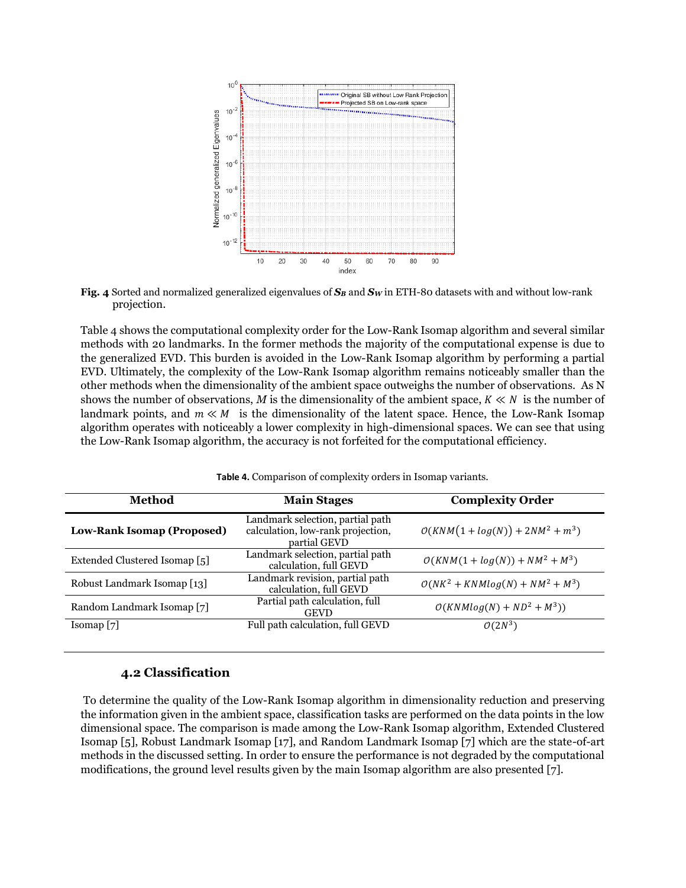

**Fig. 4** Sorted and normalized generalized eigenvalues of *S<sup>B</sup>* and *S<sup>W</sup>* in ETH-80 datasets with and without low-rank projection.

Table 4 shows the computational complexity order for the Low-Rank Isomap algorithm and several similar methods with 20 landmarks. In the former methods the majority of the computational expense is due to the generalized EVD. This burden is avoided in the Low-Rank Isomap algorithm by performing a partial EVD. Ultimately, the complexity of the Low-Rank Isomap algorithm remains noticeably smaller than the other methods when the dimensionality of the ambient space outweighs the number of observations. As N shows the number of observations, *M* is the dimensionality of the ambient space,  $K \ll N$  is the number of landmark points, and  $m \ll M$  is the dimensionality of the latent space. Hence, the Low-Rank Isomap algorithm operates with noticeably a lower complexity in high-dimensional spaces. We can see that using the Low-Rank Isomap algorithm, the accuracy is not forfeited for the computational efficiency.

| Method                            | <b>Main Stages</b>                                                                    | <b>Complexity Order</b>            |  |
|-----------------------------------|---------------------------------------------------------------------------------------|------------------------------------|--|
| <b>Low-Rank Isomap (Proposed)</b> | Landmark selection, partial path<br>calculation, low-rank projection,<br>partial GEVD | $O(KNM(1 + log(N)) + 2NM^2 + m^3)$ |  |
| Extended Clustered Isomap [5]     | Landmark selection, partial path<br>calculation, full GEVD                            | $O(KNM(1 + log(N)) + NM^2 + M^3)$  |  |
| Robust Landmark Isomap [13]       | Landmark revision, partial path<br>calculation, full GEVD                             | $O(NK^2 + KNMlog(N) + NM^2 + M^3)$ |  |
| Random Landmark Isomap [7]        | Partial path calculation, full<br><b>GEVD</b>                                         | $O(KNMlog(N) + ND^2 + M^3))$       |  |
| Isomap [7]                        | Full path calculation, full GEVD                                                      | $O(2N^3)$                          |  |

**Table 4.** Comparison of complexity orders in Isomap variants.

# **4.2 Classification**

To determine the quality of the Low-Rank Isomap algorithm in dimensionality reduction and preserving the information given in the ambient space, classification tasks are performed on the data points in the low dimensional space. The comparison is made among the Low-Rank Isomap algorithm, Extended Clustered Isomap [5], Robust Landmark Isomap [17], and Random Landmark Isomap [7] which are the state-of-art methods in the discussed setting. In order to ensure the performance is not degraded by the computational modifications, the ground level results given by the main Isomap algorithm are also presented [7].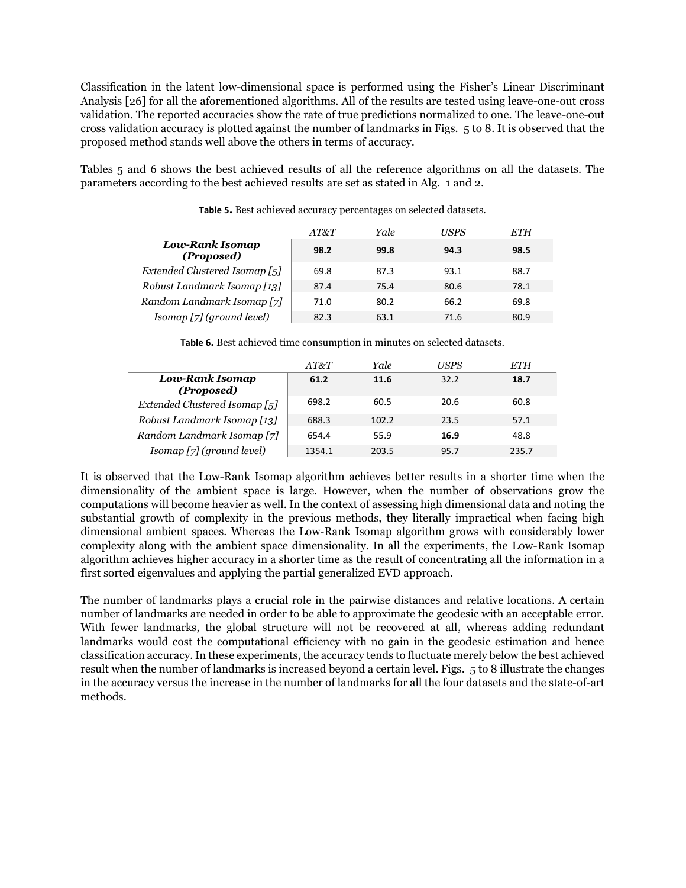Classification in the latent low-dimensional space is performed using the Fisher's Linear Discriminant Analysis [26] for all the aforementioned algorithms. All of the results are tested using leave-one-out cross validation. The reported accuracies show the rate of true predictions normalized to one. The leave-one-out cross validation accuracy is plotted against the number of landmarks in Figs. 5 to 8. It is observed that the proposed method stands well above the others in terms of accuracy.

Tables 5 and 6 shows the best achieved results of all the reference algorithms on all the datasets. The parameters according to the best achieved results are set as stated in Alg. 1 and 2.

|                               | AT&T | Yale | USPS | ETH  |
|-------------------------------|------|------|------|------|
| Low-Rank Isomap<br>(Proposed) | 98.2 | 99.8 | 94.3 | 98.5 |
| Extended Clustered Isomap [5] | 69.8 | 87.3 | 93.1 | 88.7 |
| Robust Landmark Isomap [13]   | 87.4 | 75.4 | 80.6 | 78.1 |
| Random Landmark Isomap [7]    | 71.0 | 80.2 | 66.2 | 69.8 |
| Isomap [7] (ground level)     | 82.3 | 63.1 | 71.6 | 80.9 |

**Table 5.** Best achieved accuracy percentages on selected datasets.

| Table 6. Best achieved time consumption in minutes on selected datasets. |
|--------------------------------------------------------------------------|
|--------------------------------------------------------------------------|

|                               | AT&T   | Yale  | <i>USPS</i> | ETH   |
|-------------------------------|--------|-------|-------------|-------|
| Low-Rank Isomap<br>(Proposed) | 61.2   | 11.6  | 32.2        | 18.7  |
| Extended Clustered Isomap [5] | 698.2  | 60.5  | 20.6        | 60.8  |
| Robust Landmark Isomap [13]   | 688.3  | 102.2 | 23.5        | 57.1  |
| Random Landmark Isomap [7]    | 654.4  | 55.9  | 16.9        | 48.8  |
| Isomap [7] (ground level)     | 1354.1 | 203.5 | 95.7        | 235.7 |

It is observed that the Low-Rank Isomap algorithm achieves better results in a shorter time when the dimensionality of the ambient space is large. However, when the number of observations grow the computations will become heavier as well. In the context of assessing high dimensional data and noting the substantial growth of complexity in the previous methods, they literally impractical when facing high dimensional ambient spaces. Whereas the Low-Rank Isomap algorithm grows with considerably lower complexity along with the ambient space dimensionality. In all the experiments, the Low-Rank Isomap algorithm achieves higher accuracy in a shorter time as the result of concentrating all the information in a first sorted eigenvalues and applying the partial generalized EVD approach.

The number of landmarks plays a crucial role in the pairwise distances and relative locations. A certain number of landmarks are needed in order to be able to approximate the geodesic with an acceptable error. With fewer landmarks, the global structure will not be recovered at all, whereas adding redundant landmarks would cost the computational efficiency with no gain in the geodesic estimation and hence classification accuracy. In these experiments, the accuracy tends to fluctuate merely below the best achieved result when the number of landmarks is increased beyond a certain level. Figs. 5 to 8 illustrate the changes in the accuracy versus the increase in the number of landmarks for all the four datasets and the state-of-art methods.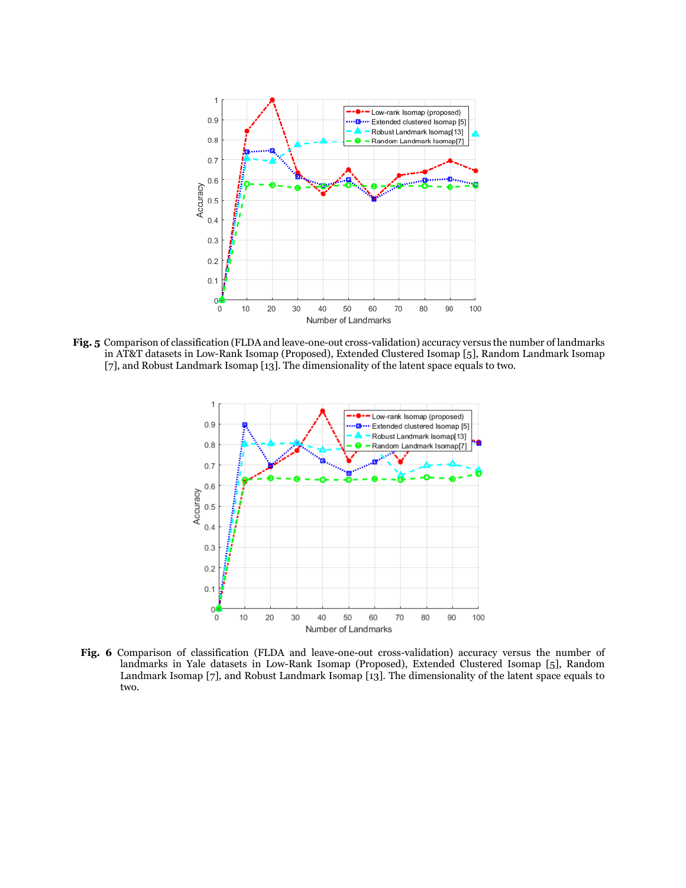

**Fig. 5** Comparison of classification (FLDA and leave-one-out cross-validation) accuracy versus the number of landmarks in AT&T datasets in Low-Rank Isomap (Proposed), Extended Clustered Isomap [5], Random Landmark Isomap [7], and Robust Landmark Isomap [13]. The dimensionality of the latent space equals to two.



**Fig. 6** Comparison of classification (FLDA and leave-one-out cross-validation) accuracy versus the number of landmarks in Yale datasets in Low-Rank Isomap (Proposed), Extended Clustered Isomap [5], Random Landmark Isomap [7], and Robust Landmark Isomap [13]. The dimensionality of the latent space equals to two.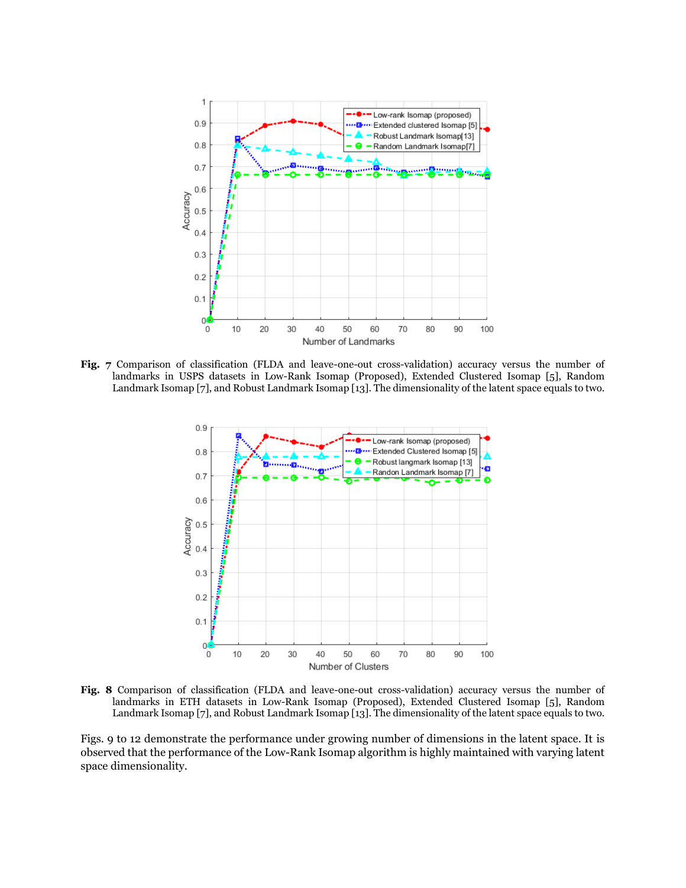

**Fig. 7** Comparison of classification (FLDA and leave-one-out cross-validation) accuracy versus the number of landmarks in USPS datasets in Low-Rank Isomap (Proposed), Extended Clustered Isomap [5], Random Landmark Isomap [7], and Robust Landmark Isomap [13]. The dimensionality of the latent space equals to two.



**Fig. 8** Comparison of classification (FLDA and leave-one-out cross-validation) accuracy versus the number of landmarks in ETH datasets in Low-Rank Isomap (Proposed), Extended Clustered Isomap [5], Random Landmark Isomap [7], and Robust Landmark Isomap [13]. The dimensionality of the latent space equals to two.

Figs. 9 to 12 demonstrate the performance under growing number of dimensions in the latent space. It is observed that the performance of the Low-Rank Isomap algorithm is highly maintained with varying latent space dimensionality.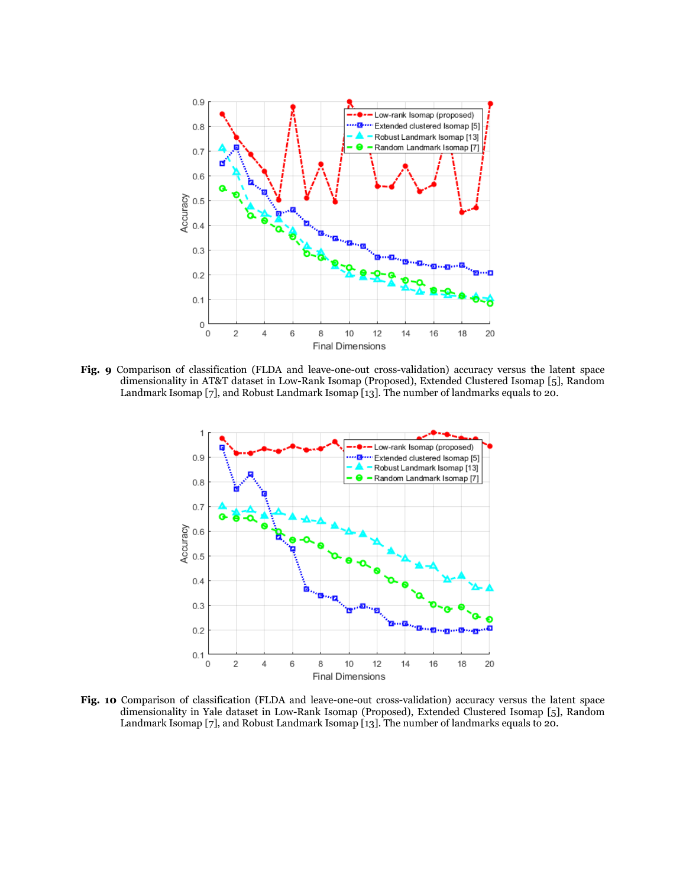

**Fig. 9** Comparison of classification (FLDA and leave-one-out cross-validation) accuracy versus the latent space dimensionality in AT&T dataset in Low-Rank Isomap (Proposed), Extended Clustered Isomap [5], Random Landmark Isomap [7], and Robust Landmark Isomap [13]. The number of landmarks equals to 20.



**Fig. 10** Comparison of classification (FLDA and leave-one-out cross-validation) accuracy versus the latent space dimensionality in Yale dataset in Low-Rank Isomap (Proposed), Extended Clustered Isomap [5], Random Landmark Isomap [7], and Robust Landmark Isomap [13]. The number of landmarks equals to 20.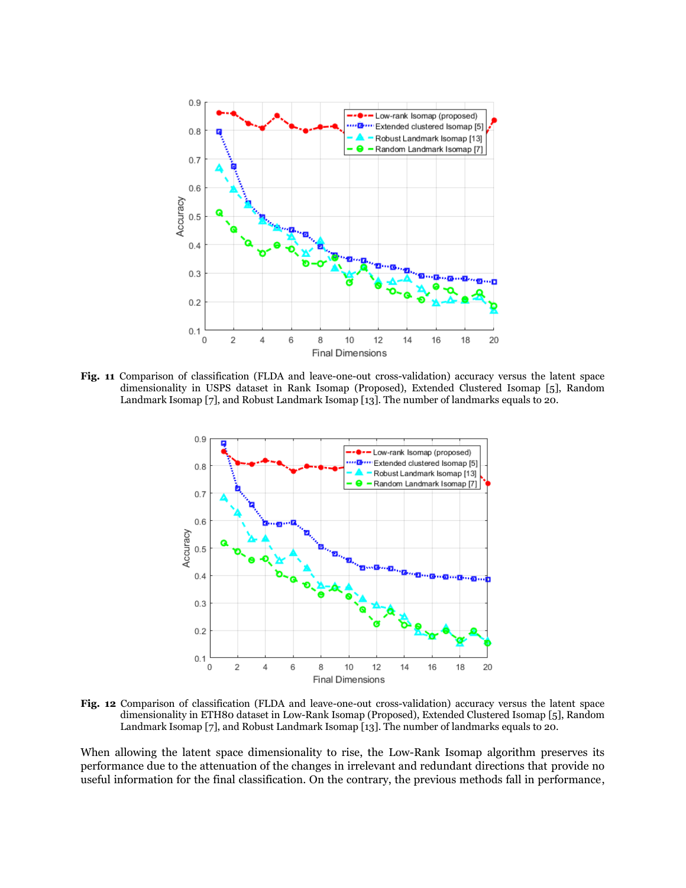

**Fig. 11** Comparison of classification (FLDA and leave-one-out cross-validation) accuracy versus the latent space dimensionality in USPS dataset in Rank Isomap (Proposed), Extended Clustered Isomap [5], Random Landmark Isomap [7], and Robust Landmark Isomap [13]. The number of landmarks equals to 20.



**Fig. 12** Comparison of classification (FLDA and leave-one-out cross-validation) accuracy versus the latent space dimensionality in ETH80 dataset in Low-Rank Isomap (Proposed), Extended Clustered Isomap [5], Random Landmark Isomap [7], and Robust Landmark Isomap [13]. The number of landmarks equals to 20.

When allowing the latent space dimensionality to rise, the Low-Rank Isomap algorithm preserves its performance due to the attenuation of the changes in irrelevant and redundant directions that provide no useful information for the final classification. On the contrary, the previous methods fall in performance,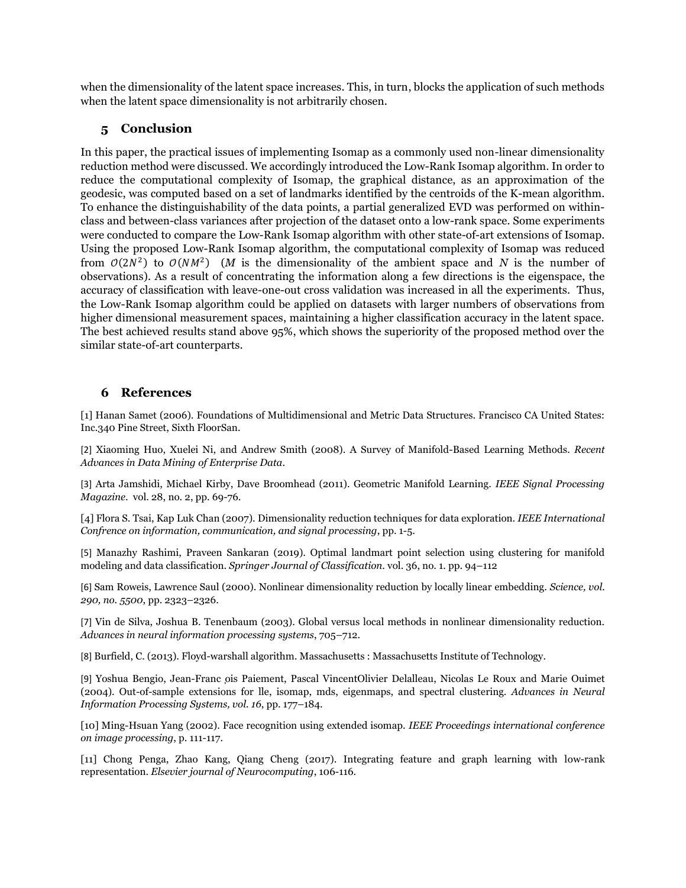when the dimensionality of the latent space increases. This, in turn, blocks the application of such methods when the latent space dimensionality is not arbitrarily chosen.

# **5 Conclusion**

In this paper, the practical issues of implementing Isomap as a commonly used non-linear dimensionality reduction method were discussed. We accordingly introduced the Low-Rank Isomap algorithm. In order to reduce the computational complexity of Isomap, the graphical distance, as an approximation of the geodesic, was computed based on a set of landmarks identified by the centroids of the K-mean algorithm. To enhance the distinguishability of the data points, a partial generalized EVD was performed on withinclass and between-class variances after projection of the dataset onto a low-rank space. Some experiments were conducted to compare the Low-Rank Isomap algorithm with other state-of-art extensions of Isomap. Using the proposed Low-Rank Isomap algorithm, the computational complexity of Isomap was reduced from  $O(2N^2)$  to  $O(NM^2)$  (*M* is the dimensionality of the ambient space and *N* is the number of observations). As a result of concentrating the information along a few directions is the eigenspace, the accuracy of classification with leave-one-out cross validation was increased in all the experiments. Thus, the Low-Rank Isomap algorithm could be applied on datasets with larger numbers of observations from higher dimensional measurement spaces, maintaining a higher classification accuracy in the latent space. The best achieved results stand above 95%, which shows the superiority of the proposed method over the similar state-of-art counterparts.

# **6 References**

[1] Hanan Samet (2006). Foundations of Multidimensional and Metric Data Structures. Francisco CA United States: Inc.340 Pine Street, Sixth FloorSan.

[2] Xiaoming Huo, Xuelei Ni, and Andrew Smith (2008). A Survey of Manifold-Based Learning Methods. *Recent Advances in Data Mining of Enterprise Data*.

[3] Arta Jamshidi, Michael Kirby, Dave Broomhead (2011). Geometric Manifold Learning. *IEEE Signal Processing Magazine*. vol. 28, no. 2, pp. 69-76.

[4] Flora S. Tsai, Kap Luk Chan (2007). Dimensionality reduction techniques for data exploration. *IEEE International Confrence on information, communication, and signal processing*, pp. 1-5.

[5] Manazhy Rashimi, Praveen Sankaran (2019). Optimal landmart point selection using clustering for manifold modeling and data classification. *Springer Journal of Classification*. vol. 36, no. 1. pp. 94–112

[6] Sam Roweis, Lawrence Saul (2000). Nonlinear dimensionality reduction by locally linear embedding. *Science, vol. 290, no. 5500*, pp. 2323–2326.

[7] Vin de Silva, Joshua B. Tenenbaum (2003). Global versus local methods in nonlinear dimensionality reduction. *Advances in neural information processing systems*, 705–712.

[8] Burfield, C. (2013). Floyd-warshall algorithm*.* Massachusetts : Massachusetts Institute of Technology.

[9] Yoshua Bengio, Jean-Franc ois Paiement, Pascal VincentOlivier Delalleau, Nicolas Le Roux and Marie Ouimet (2004). Out-of-sample extensions for lle, isomap, mds, eigenmaps, and spectral clustering. *Advances in Neural Information Processing Systems, vol. 16*, pp. 177–184.

[10] Ming-Hsuan Yang (2002). Face recognition using extended isomap. *IEEE Proceedings international conference on image processing*, p. 111-117.

[11] Chong Penga, Zhao Kang, Qiang Cheng (2017). Integrating feature and graph learning with low-rank representation. *Elsevier journal of Neurocomputing*, 106-116.